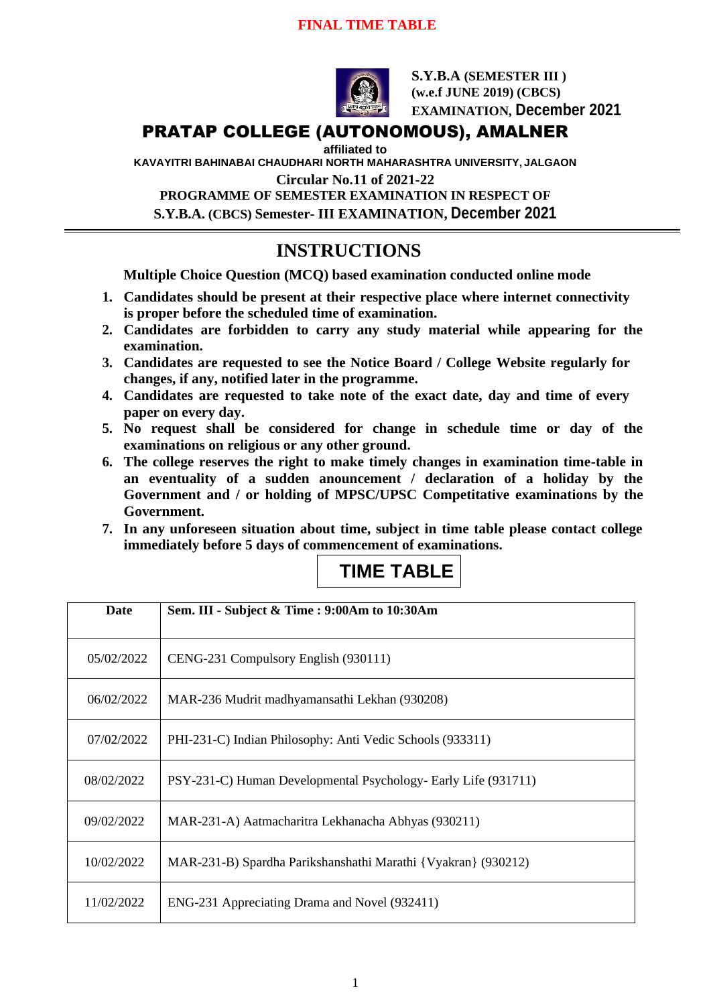### **FINAL TIME TABLE**



**S.Y.B.A (SEMESTER III ) (w.e.f JUNE 2019) (CBCS) EXAMINATION, December 2021**

# PRATAP COLLEGE (AUTONOMOUS), AMALNER

**affiliated to** 

**KAVAYITRI BAHINABAI CHAUDHARI NORTH MAHARASHTRA UNIVERSITY, JALGAON**

**Circular No.11 of 2021-22**

**PROGRAMME OF SEMESTER EXAMINATION IN RESPECT OF S.Y.B.A. (CBCS) Semester- III EXAMINATION, December 2021**

# **INSTRUCTIONS**

**Multiple Choice Question (MCQ) based examination conducted online mode**

- **1. Candidates should be present at their respective place where internet connectivity is proper before the scheduled time of examination.**
- **2. Candidates are forbidden to carry any study material while appearing for the examination.**
- **3. Candidates are requested to see the Notice Board / College Website regularly for changes, if any, notified later in the programme.**
- **4. Candidates are requested to take note of the exact date, day and time of every paper on every day.**
- **5. No request shall be considered for change in schedule time or day of the examinations on religious or any other ground.**
- **6. The college reserves the right to make timely changes in examination time-table in an eventuality of a sudden anouncement / declaration of a holiday by the Government and / or holding of MPSC/UPSC Competitative examinations by the Government.**
- **7. In any unforeseen situation about time, subject in time table please contact college immediately before 5 days of commencement of examinations.**

# **TIME TABLE**

| Date       | Sem. III - Subject & Time : 9:00Am to 10:30Am                  |
|------------|----------------------------------------------------------------|
| 05/02/2022 | CENG-231 Compulsory English (930111)                           |
| 06/02/2022 | MAR-236 Mudrit madhyamansathi Lekhan (930208)                  |
| 07/02/2022 | PHI-231-C) Indian Philosophy: Anti Vedic Schools (933311)      |
| 08/02/2022 | PSY-231-C) Human Developmental Psychology- Early Life (931711) |
| 09/02/2022 | MAR-231-A) Aatmacharitra Lekhanacha Abhyas (930211)            |
| 10/02/2022 | MAR-231-B) Spardha Parikshanshathi Marathi {Vyakran} (930212)  |
| 11/02/2022 | ENG-231 Appreciating Drama and Novel (932411)                  |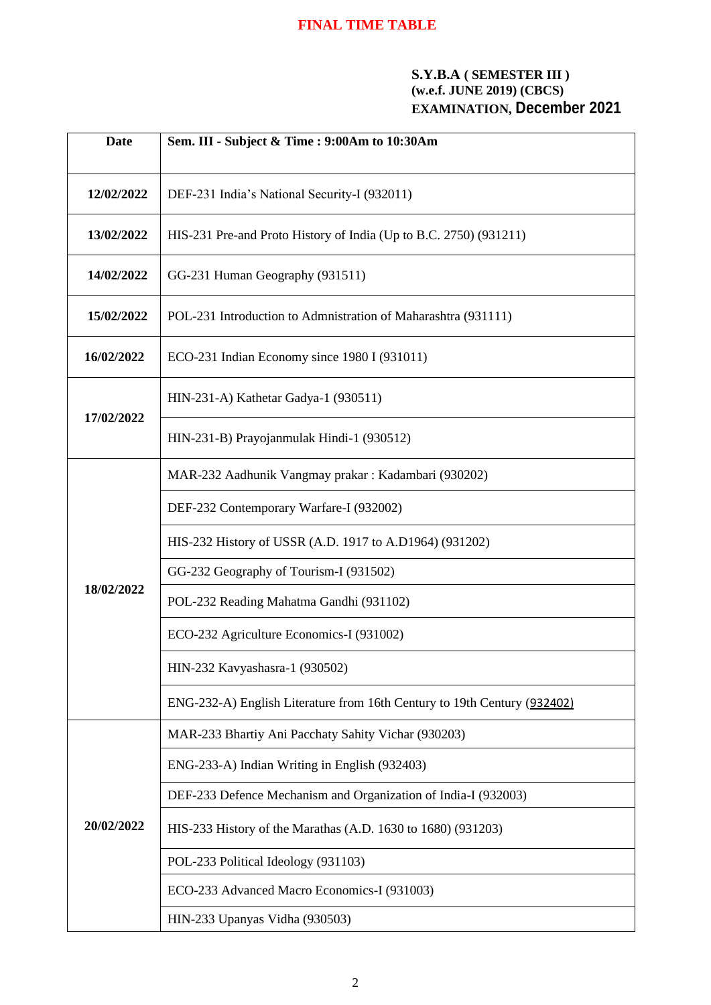# **FINAL TIME TABLE**

## **S.Y.B.A ( SEMESTER III ) (w.e.f. JUNE 2019) (CBCS) EXAMINATION, December 2021**

| <b>Date</b> | Sem. III - Subject & Time : 9:00Am to 10:30Am                            |
|-------------|--------------------------------------------------------------------------|
| 12/02/2022  | DEF-231 India's National Security-I (932011)                             |
| 13/02/2022  | HIS-231 Pre-and Proto History of India (Up to B.C. 2750) (931211)        |
| 14/02/2022  | GG-231 Human Geography (931511)                                          |
| 15/02/2022  | POL-231 Introduction to Admnistration of Maharashtra (931111)            |
| 16/02/2022  | ECO-231 Indian Economy since 1980 I (931011)                             |
| 17/02/2022  | HIN-231-A) Kathetar Gadya-1 (930511)                                     |
|             | HIN-231-B) Prayojanmulak Hindi-1 (930512)                                |
| 18/02/2022  | MAR-232 Aadhunik Vangmay prakar: Kadambari (930202)                      |
|             | DEF-232 Contemporary Warfare-I (932002)                                  |
|             | HIS-232 History of USSR (A.D. 1917 to A.D1964) (931202)                  |
|             | GG-232 Geography of Tourism-I (931502)                                   |
|             | POL-232 Reading Mahatma Gandhi (931102)                                  |
|             | ECO-232 Agriculture Economics-I (931002)                                 |
|             | HIN-232 Kavyashasra-1 (930502)                                           |
|             | ENG-232-A) English Literature from 16th Century to 19th Century (932402) |
| 20/02/2022  | MAR-233 Bhartiy Ani Pacchaty Sahity Vichar (930203)                      |
|             | ENG-233-A) Indian Writing in English (932403)                            |
|             | DEF-233 Defence Mechanism and Organization of India-I (932003)           |
|             | HIS-233 History of the Marathas (A.D. 1630 to 1680) (931203)             |
|             | POL-233 Political Ideology (931103)                                      |
|             | ECO-233 Advanced Macro Economics-I (931003)                              |
|             | HIN-233 Upanyas Vidha (930503)                                           |